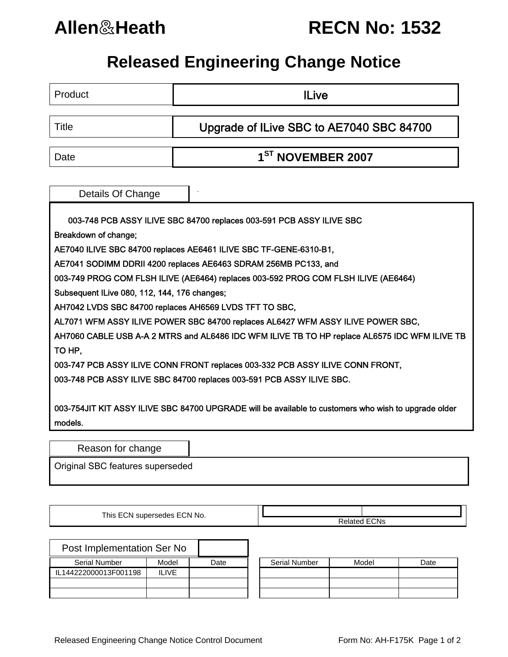## **Allen**&**Heath RECN No: 1532**

## **Released Engineering Change Notice**

| Product                                                                                              | <b>ILive</b>                                                                       |  |  |  |  |  |  |  |  |
|------------------------------------------------------------------------------------------------------|------------------------------------------------------------------------------------|--|--|--|--|--|--|--|--|
|                                                                                                      |                                                                                    |  |  |  |  |  |  |  |  |
| <b>Title</b>                                                                                         | Upgrade of ILive SBC to AE7040 SBC 84700                                           |  |  |  |  |  |  |  |  |
| Date                                                                                                 | 1 <sup>ST</sup> NOVEMBER 2007                                                      |  |  |  |  |  |  |  |  |
|                                                                                                      |                                                                                    |  |  |  |  |  |  |  |  |
|                                                                                                      |                                                                                    |  |  |  |  |  |  |  |  |
| Details Of Change                                                                                    |                                                                                    |  |  |  |  |  |  |  |  |
| 003-748 PCB ASSY ILIVE SBC 84700 replaces 003-591 PCB ASSY ILIVE SBC                                 |                                                                                    |  |  |  |  |  |  |  |  |
| Breakdown of change;                                                                                 |                                                                                    |  |  |  |  |  |  |  |  |
| AE7040 ILIVE SBC 84700 replaces AE6461 ILIVE SBC TF-GENE-6310-B1,                                    |                                                                                    |  |  |  |  |  |  |  |  |
| AE7041 SODIMM DDRII 4200 replaces AE6463 SDRAM 256MB PC133, and                                      |                                                                                    |  |  |  |  |  |  |  |  |
|                                                                                                      | 003-749 PROG COM FLSH ILIVE (AE6464) replaces 003-592 PROG COM FLSH ILIVE (AE6464) |  |  |  |  |  |  |  |  |
| Subsequent ILive 080, 112, 144, 176 changes;                                                         |                                                                                    |  |  |  |  |  |  |  |  |
|                                                                                                      | AH7042 LVDS SBC 84700 replaces AH6569 LVDS TFT TO SBC,                             |  |  |  |  |  |  |  |  |
| AL7071 WFM ASSY ILIVE POWER SBC 84700 replaces AL6427 WFM ASSY ILIVE POWER SBC,                      |                                                                                    |  |  |  |  |  |  |  |  |
| AH7060 CABLE USB A-A 2 MTRS and AL6486 IDC WFM ILIVE TB TO HP replace AL6575 IDC WFM ILIVE TB        |                                                                                    |  |  |  |  |  |  |  |  |
| TO HP,                                                                                               |                                                                                    |  |  |  |  |  |  |  |  |
| 003-747 PCB ASSY ILIVE CONN FRONT replaces 003-332 PCB ASSY ILIVE CONN FRONT,                        |                                                                                    |  |  |  |  |  |  |  |  |
| 003-748 PCB ASSY ILIVE SBC 84700 replaces 003-591 PCB ASSY ILIVE SBC.                                |                                                                                    |  |  |  |  |  |  |  |  |
|                                                                                                      |                                                                                    |  |  |  |  |  |  |  |  |
| 003-754JIT KIT ASSY ILIVE SBC 84700 UPGRADE will be available to customers who wish to upgrade older |                                                                                    |  |  |  |  |  |  |  |  |
| models.                                                                                              |                                                                                    |  |  |  |  |  |  |  |  |
|                                                                                                      |                                                                                    |  |  |  |  |  |  |  |  |
| Reason for change                                                                                    |                                                                                    |  |  |  |  |  |  |  |  |

Original SBC features superseded

This ECN supersedes ECN No.

| Post Implementation Ser No |       |      |
|----------------------------|-------|------|
| Serial Number              | Model | Date |
| IL144222000013F001198      | ILIVE |      |
|                            |       |      |
|                            |       |      |

| Serial Number    | Model        | Date | <b>Serial Number</b> | Model | Date |
|------------------|--------------|------|----------------------|-------|------|
| 222000013F001198 | <b>ILIVE</b> |      |                      |       |      |
|                  |              |      |                      |       |      |
|                  |              |      |                      |       |      |